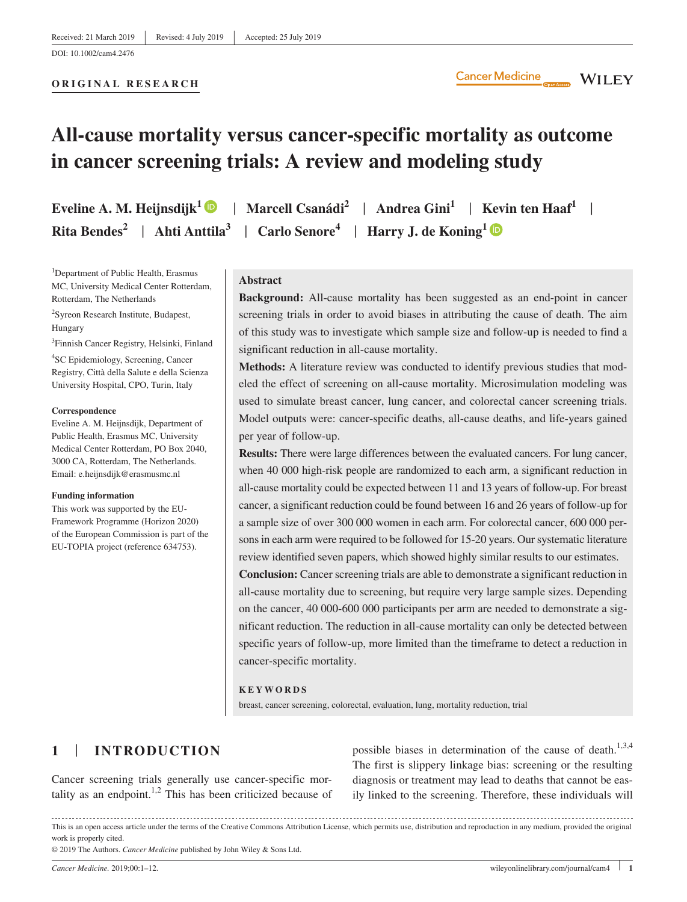# **All‐cause mortality versus cancer‐specific mortality as outcome in cancer screening trials: A review and modeling study**

**Eveline A. M. Heijnsdijk**<sup>1</sup> | **Marcell Csanádi**<sup>2</sup> | **Andrea Gini**<sup>1</sup> | **Kevin ten Haaf**<sup>1</sup> |

<sup>1</sup>Department of Public Health, Erasmus MC, University Medical Center Rotterdam, Rotterdam, The Netherlands

2 Syreon Research Institute, Budapest, Hungary

3 Finnish Cancer Registry, Helsinki, Finland 4 SC Epidemiology, Screening, Cancer Registry, Città della Salute e della Scienza University Hospital, CPO, Turin, Italy

#### **Correspondence**

Eveline A. M. Heijnsdijk, Department of Public Health, Erasmus MC, University Medical Center Rotterdam, PO Box 2040, 3000 CA, Rotterdam, The Netherlands. Email: [e.heijnsdijk@erasmusmc.nl](mailto:e.heijnsdijk@erasmusmc.nl)

#### **Funding information**

This work was supported by the EU‐ Framework Programme (Horizon 2020) of the European Commission is part of the EU‐TOPIA project (reference 634753).

**Rita Bendes<sup>2</sup> | Ahti Anttila<sup>3</sup> | Carlo Senore<sup>4</sup> | Harry J. de Koning<sup>[1](https://orcid.org/0000-0003-4682-3646)</sup> | <b>D** 

## **Abstract**

Background: All-cause mortality has been suggested as an end-point in cancer screening trials in order to avoid biases in attributing the cause of death. The aim of this study was to investigate which sample size and follow‐up is needed to find a significant reduction in all-cause mortality.

**Methods:** A literature review was conducted to identify previous studies that modeled the effect of screening on all‐cause mortality. Microsimulation modeling was used to simulate breast cancer, lung cancer, and colorectal cancer screening trials. Model outputs were: cancer‐specific deaths, all‐cause deaths, and life‐years gained per year of follow‐up.

**Results:** There were large differences between the evaluated cancers. For lung cancer, when 40 000 high-risk people are randomized to each arm, a significant reduction in all‐cause mortality could be expected between 11 and 13 years of follow‐up. For breast cancer, a significant reduction could be found between 16 and 26 years of follow‐up for a sample size of over 300 000 women in each arm. For colorectal cancer, 600 000 persons in each arm were required to be followed for 15‐20 years. Our systematic literature review identified seven papers, which showed highly similar results to our estimates.

**Conclusion:** Cancer screening trials are able to demonstrate a significant reduction in all‐cause mortality due to screening, but require very large sample sizes. Depending on the cancer, 40 000‐600 000 participants per arm are needed to demonstrate a significant reduction. The reduction in all‐cause mortality can only be detected between specific years of follow‐up, more limited than the timeframe to detect a reduction in cancer‐specific mortality.

#### **KEYWORDS**

breast, cancer screening, colorectal, evaluation, lung, mortality reduction, trial

# **1** | **INTRODUCTION**

Cancer screening trials generally use cancer‐specific mortality as an endpoint.<sup>1,2</sup> This has been criticized because of possible biases in determination of the cause of death. $1,3,4$ The first is slippery linkage bias: screening or the resulting diagnosis or treatment may lead to deaths that cannot be easily linked to the screening. Therefore, these individuals will

© 2019 The Authors. *Cancer Medicine* published by John Wiley & Sons Ltd.

This is an open access article under the terms of the [Creative Commons Attribution](http://creativecommons.org/licenses/by/4.0/) License, which permits use, distribution and reproduction in any medium, provided the original work is properly cited.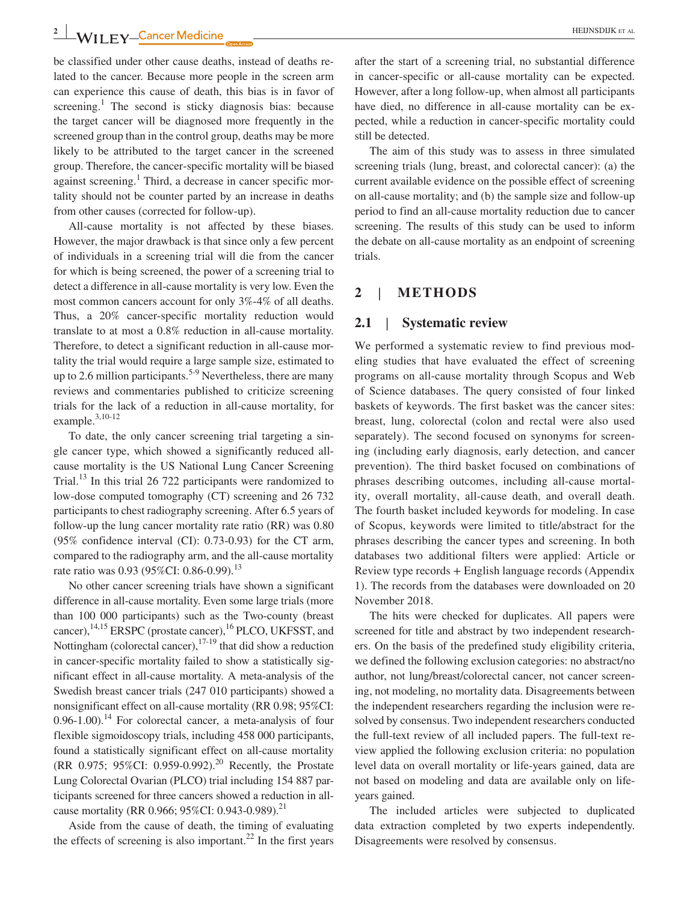be classified under other cause deaths, instead of deaths related to the cancer. Because more people in the screen arm can experience this cause of death, this bias is in favor of screening.<sup>1</sup> The second is sticky diagnosis bias: because the target cancer will be diagnosed more frequently in the screened group than in the control group, deaths may be more likely to be attributed to the target cancer in the screened group. Therefore, the cancer‐specific mortality will be biased against screening.<sup>1</sup> Third, a decrease in cancer specific mortality should not be counter parted by an increase in deaths from other causes (corrected for follow‐up).

All-cause mortality is not affected by these biases. However, the major drawback is that since only a few percent of individuals in a screening trial will die from the cancer for which is being screened, the power of a screening trial to detect a difference in all‐cause mortality is very low. Even the most common cancers account for only 3%‐4% of all deaths. Thus, a 20% cancer-specific mortality reduction would translate to at most a 0.8% reduction in all‐cause mortality. Therefore, to detect a significant reduction in all-cause mortality the trial would require a large sample size, estimated to up to 2.6 million participants.<sup>5-9</sup> Nevertheless, there are many reviews and commentaries published to criticize screening trials for the lack of a reduction in all‐cause mortality, for example.<sup>3,10-12</sup>

To date, the only cancer screening trial targeting a single cancer type, which showed a significantly reduced allcause mortality is the US National Lung Cancer Screening Trial.<sup>13</sup> In this trial 26 722 participants were randomized to low‐dose computed tomography (CT) screening and 26 732 participants to chest radiography screening. After 6.5 years of follow‐up the lung cancer mortality rate ratio (RR) was 0.80 (95% confidence interval (CI): 0.73‐0.93) for the CT arm, compared to the radiography arm, and the all‐cause mortality rate ratio was 0.93 (95%CI: 0.86-0.99).<sup>13</sup>

No other cancer screening trials have shown a significant difference in all-cause mortality. Even some large trials (more than 100 000 participants) such as the Two-county (breast cancer), $^{14,15}$  ERSPC (prostate cancer), $^{16}$  PLCO, UKFSST, and Nottingham (colorectal cancer),  $17-19$  that did show a reduction in cancer‐specific mortality failed to show a statistically significant effect in all‐cause mortality. A meta‐analysis of the Swedish breast cancer trials (247 010 participants) showed a nonsignificant effect on all‐cause mortality (RR 0.98; 95%CI:  $0.96-1.00$ .<sup>14</sup> For colorectal cancer, a meta-analysis of four flexible sigmoidoscopy trials, including 458 000 participants, found a statistically significant effect on all‐cause mortality (RR 0.975; 95%CI: 0.959‐0.992).20 Recently, the Prostate Lung Colorectal Ovarian (PLCO) trial including 154 887 participants screened for three cancers showed a reduction in allcause mortality (RR 0.966; 95%CI: 0.943-0.989).<sup>21</sup>

Aside from the cause of death, the timing of evaluating the effects of screening is also important.<sup>22</sup> In the first years

after the start of a screening trial, no substantial difference in cancer‐specific or all‐cause mortality can be expected. However, after a long follow‐up, when almost all participants have died, no difference in all-cause mortality can be expected, while a reduction in cancer‐specific mortality could still be detected.

The aim of this study was to assess in three simulated screening trials (lung, breast, and colorectal cancer): (a) the current available evidence on the possible effect of screening on all‐cause mortality; and (b) the sample size and follow‐up period to find an all‐cause mortality reduction due to cancer screening. The results of this study can be used to inform the debate on all‐cause mortality as an endpoint of screening trials.

## **2** | **METHODS**

## **2.1** | **Systematic review**

We performed a systematic review to find previous modeling studies that have evaluated the effect of screening programs on all‐cause mortality through Scopus and Web of Science databases. The query consisted of four linked baskets of keywords. The first basket was the cancer sites: breast, lung, colorectal (colon and rectal were also used separately). The second focused on synonyms for screening (including early diagnosis, early detection, and cancer prevention). The third basket focused on combinations of phrases describing outcomes, including all‐cause mortality, overall mortality, all‐cause death, and overall death. The fourth basket included keywords for modeling. In case of Scopus, keywords were limited to title/abstract for the phrases describing the cancer types and screening. In both databases two additional filters were applied: Article or Review type records + English language records (Appendix 1). The records from the databases were downloaded on 20 November 2018.

The hits were checked for duplicates. All papers were screened for title and abstract by two independent researchers. On the basis of the predefined study eligibility criteria, we defined the following exclusion categories: no abstract/no author, not lung/breast/colorectal cancer, not cancer screening, not modeling, no mortality data. Disagreements between the independent researchers regarding the inclusion were resolved by consensus. Two independent researchers conducted the full‐text review of all included papers. The full‐text review applied the following exclusion criteria: no population level data on overall mortality or life‐years gained, data are not based on modeling and data are available only on lifeyears gained.

The included articles were subjected to duplicated data extraction completed by two experts independently. Disagreements were resolved by consensus.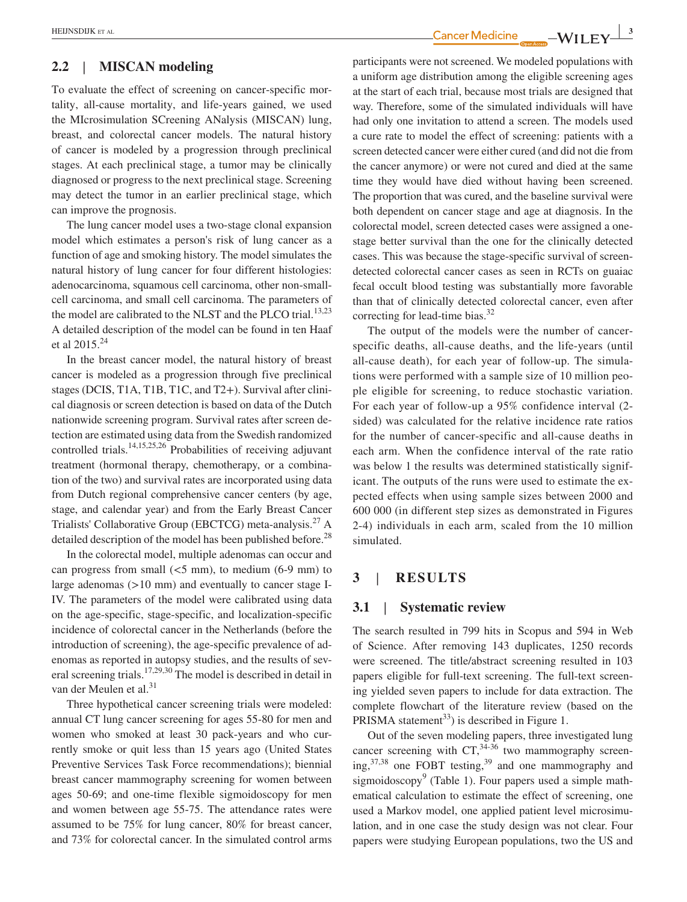### **2.2** | **MISCAN modeling**

To evaluate the effect of screening on cancer‐specific mortality, all-cause mortality, and life-years gained, we used the MIcrosimulation SCreening ANalysis (MISCAN) lung, breast, and colorectal cancer models. The natural history of cancer is modeled by a progression through preclinical stages. At each preclinical stage, a tumor may be clinically diagnosed or progress to the next preclinical stage. Screening may detect the tumor in an earlier preclinical stage, which can improve the prognosis.

The lung cancer model uses a two-stage clonal expansion model which estimates a person's risk of lung cancer as a function of age and smoking history. The model simulates the natural history of lung cancer for four different histologies: adenocarcinoma, squamous cell carcinoma, other non‐small‐ cell carcinoma, and small cell carcinoma. The parameters of the model are calibrated to the NLST and the PLCO trial.<sup>13,23</sup> A detailed description of the model can be found in ten Haaf et al 2015.24

In the breast cancer model, the natural history of breast cancer is modeled as a progression through five preclinical stages (DCIS, T1A, T1B, T1C, and T2+). Survival after clinical diagnosis or screen detection is based on data of the Dutch nationwide screening program. Survival rates after screen detection are estimated using data from the Swedish randomized controlled trials.14,15,25,26 Probabilities of receiving adjuvant treatment (hormonal therapy, chemotherapy, or a combination of the two) and survival rates are incorporated using data from Dutch regional comprehensive cancer centers (by age, stage, and calendar year) and from the Early Breast Cancer Trialists' Collaborative Group (EBCTCG) meta‐analysis.27 A detailed description of the model has been published before.<sup>28</sup>

In the colorectal model, multiple adenomas can occur and can progress from small  $(<5$  mm), to medium  $(6-9$  mm) to large adenomas  $(>10 \text{ mm})$  and eventually to cancer stage I-IV. The parameters of the model were calibrated using data on the age‐specific, stage‐specific, and localization‐specific incidence of colorectal cancer in the Netherlands (before the introduction of screening), the age-specific prevalence of adenomas as reported in autopsy studies, and the results of several screening trials.17,29,30 The model is described in detail in van der Meulen et al.<sup>31</sup>

Three hypothetical cancer screening trials were modeled: annual CT lung cancer screening for ages 55‐80 for men and women who smoked at least 30 pack‐years and who currently smoke or quit less than 15 years ago (United States Preventive Services Task Force recommendations); biennial breast cancer mammography screening for women between ages 50‐69; and one‐time flexible sigmoidoscopy for men and women between age 55‐75. The attendance rates were assumed to be 75% for lung cancer, 80% for breast cancer, and 73% for colorectal cancer. In the simulated control arms participants were not screened. We modeled populations with a uniform age distribution among the eligible screening ages at the start of each trial, because most trials are designed that way. Therefore, some of the simulated individuals will have had only one invitation to attend a screen. The models used a cure rate to model the effect of screening: patients with a screen detected cancer were either cured (and did not die from the cancer anymore) or were not cured and died at the same time they would have died without having been screened. The proportion that was cured, and the baseline survival were both dependent on cancer stage and age at diagnosis. In the colorectal model, screen detected cases were assigned a one‐ stage better survival than the one for the clinically detected cases. This was because the stage‐specific survival of screen‐ detected colorectal cancer cases as seen in RCTs on guaiac fecal occult blood testing was substantially more favorable

The output of the models were the number of cancerspecific deaths, all-cause deaths, and the life-years (until all‐cause death), for each year of follow‐up. The simulations were performed with a sample size of 10 million people eligible for screening, to reduce stochastic variation. For each year of follow-up a 95% confidence interval (2sided) was calculated for the relative incidence rate ratios for the number of cancer-specific and all-cause deaths in each arm. When the confidence interval of the rate ratio was below 1 the results was determined statistically significant. The outputs of the runs were used to estimate the expected effects when using sample sizes between 2000 and 600 000 (in different step sizes as demonstrated in Figures 2-4) individuals in each arm, scaled from the 10 million simulated.

than that of clinically detected colorectal cancer, even after

## **3** | **RESULTS**

## **3.1** | **Systematic review**

correcting for lead-time bias. $32$ 

The search resulted in 799 hits in Scopus and 594 in Web of Science. After removing 143 duplicates, 1250 records were screened. The title/abstract screening resulted in 103 papers eligible for full-text screening. The full-text screening yielded seven papers to include for data extraction. The complete flowchart of the literature review (based on the PRISMA statement<sup>33</sup>) is described in Figure 1.

Out of the seven modeling papers, three investigated lung cancer screening with  $CT<sup>34-36</sup>$  two mammography screening, $37,38$  one FOBT testing, $39$  and one mammography and sigmoidoscopy<sup>9</sup> (Table 1). Four papers used a simple mathematical calculation to estimate the effect of screening, one used a Markov model, one applied patient level microsimulation, and in one case the study design was not clear. Four papers were studying European populations, two the US and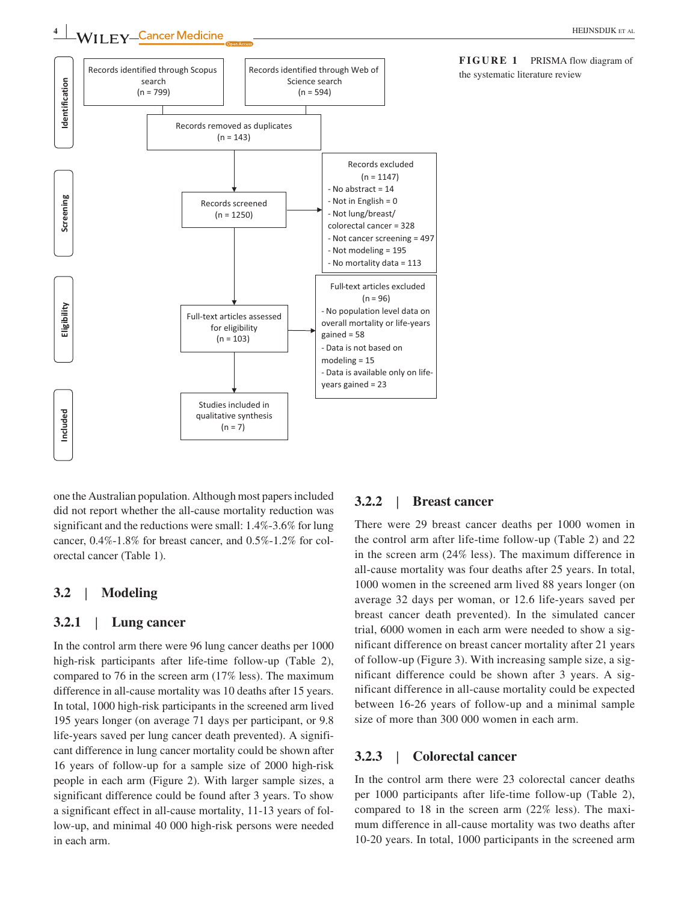

one the Australian population. Although most papers included did not report whether the all‐cause mortality reduction was significant and the reductions were small: 1.4%‐3.6% for lung cancer, 0.4%‐1.8% for breast cancer, and 0.5%‐1.2% for colorectal cancer (Table 1).

### **3.2** | **Modeling**

## **3.2.1** | **Lung cancer**

In the control arm there were 96 lung cancer deaths per 1000 high-risk participants after life-time follow-up (Table 2), compared to 76 in the screen arm (17% less). The maximum difference in all-cause mortality was 10 deaths after 15 years. In total, 1000 high‐risk participants in the screened arm lived 195 years longer (on average 71 days per participant, or 9.8 life‐years saved per lung cancer death prevented). A significant difference in lung cancer mortality could be shown after 16 years of follow‐up for a sample size of 2000 high‐risk people in each arm (Figure 2). With larger sample sizes, a significant difference could be found after 3 years. To show a significant effect in all‐cause mortality, 11‐13 years of follow‐up, and minimal 40 000 high‐risk persons were needed in each arm.

#### **3.2.2** | **Breast cancer**

There were 29 breast cancer deaths per 1000 women in the control arm after life‐time follow‐up (Table 2) and 22 in the screen arm (24% less). The maximum difference in all‐cause mortality was four deaths after 25 years. In total, 1000 women in the screened arm lived 88 years longer (on average 32 days per woman, or 12.6 life‐years saved per breast cancer death prevented). In the simulated cancer trial, 6000 women in each arm were needed to show a significant difference on breast cancer mortality after 21 years of follow‐up (Figure 3). With increasing sample size, a significant difference could be shown after 3 years. A significant difference in all‐cause mortality could be expected between 16‐26 years of follow‐up and a minimal sample size of more than 300 000 women in each arm.

## **3.2.3** | **Colorectal cancer**

In the control arm there were 23 colorectal cancer deaths per 1000 participants after life-time follow-up (Table 2), compared to 18 in the screen arm (22% less). The maximum difference in all-cause mortality was two deaths after 10‐20 years. In total, 1000 participants in the screened arm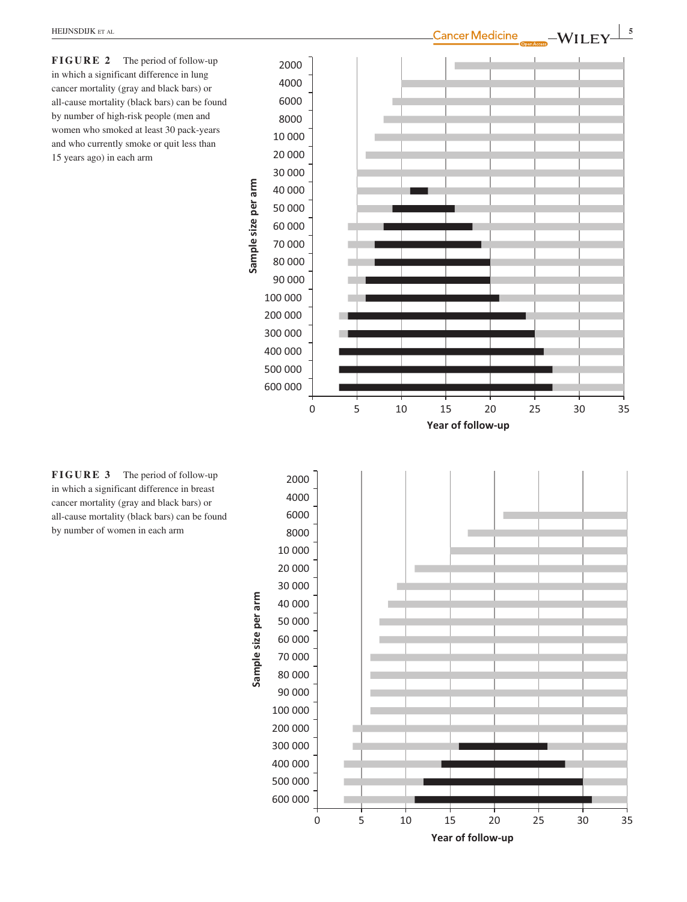**FIGURE 2** The period of follow-up in which a significant difference in lung cancer mortality (gray and black bars) or all‐cause mortality (black bars) can be found by number of high‐risk people (men and women who smoked at least 30 pack‐years and who currently smoke or quit less than 15 years ago) in each arm



**FIGURE 3** The period of follow-up in which a significant difference in breast cancer mortality (gray and black bars) or all‐cause mortality (black bars) can be found by number of women in each arm

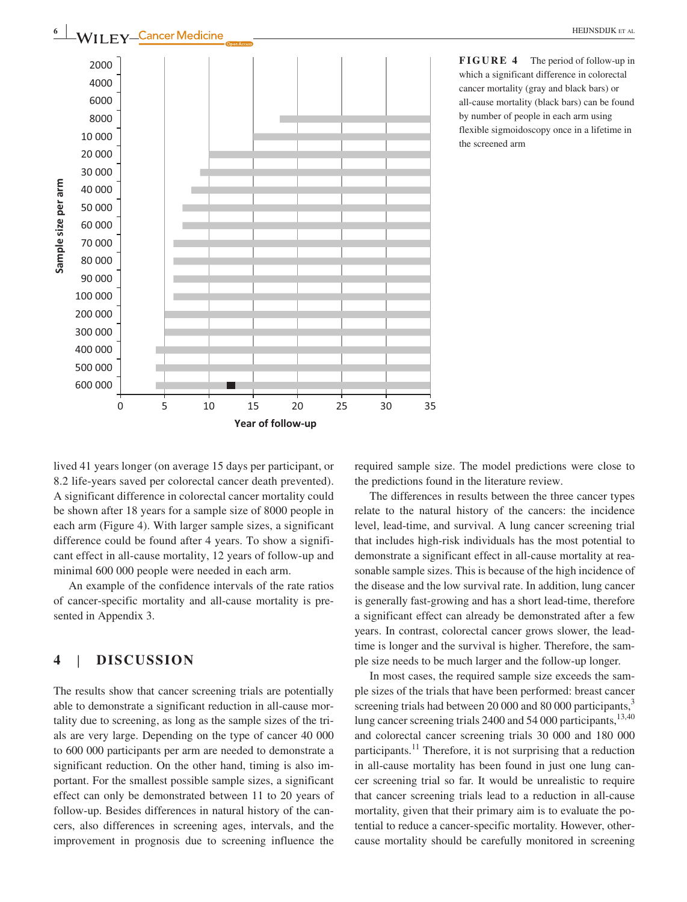

**FIGURE 4** The period of follow-up in which a significant difference in colorectal cancer mortality (gray and black bars) or all‐cause mortality (black bars) can be found by number of people in each arm using flexible sigmoidoscopy once in a lifetime in the screened arm

lived 41 years longer (on average 15 days per participant, or 8.2 life-years saved per colorectal cancer death prevented). A significant difference in colorectal cancer mortality could be shown after 18 years for a sample size of 8000 people in each arm (Figure 4). With larger sample sizes, a significant difference could be found after 4 years. To show a significant effect in all‐cause mortality, 12 years of follow‐up and minimal 600 000 people were needed in each arm.

An example of the confidence intervals of the rate ratios of cancer‐specific mortality and all‐cause mortality is presented in Appendix 3.

# **4** | **DISCUSSION**

The results show that cancer screening trials are potentially able to demonstrate a significant reduction in all‐cause mortality due to screening, as long as the sample sizes of the trials are very large. Depending on the type of cancer 40 000 to 600 000 participants per arm are needed to demonstrate a significant reduction. On the other hand, timing is also important. For the smallest possible sample sizes, a significant effect can only be demonstrated between 11 to 20 years of follow‐up. Besides differences in natural history of the cancers, also differences in screening ages, intervals, and the improvement in prognosis due to screening influence the

required sample size. The model predictions were close to the predictions found in the literature review.

The differences in results between the three cancer types relate to the natural history of the cancers: the incidence level, lead‐time, and survival. A lung cancer screening trial that includes high‐risk individuals has the most potential to demonstrate a significant effect in all-cause mortality at reasonable sample sizes. This is because of the high incidence of the disease and the low survival rate. In addition, lung cancer is generally fast-growing and has a short lead-time, therefore a significant effect can already be demonstrated after a few years. In contrast, colorectal cancer grows slower, the lead‐ time is longer and the survival is higher. Therefore, the sample size needs to be much larger and the follow‐up longer.

In most cases, the required sample size exceeds the sample sizes of the trials that have been performed: breast cancer screening trials had between 20 000 and 80 000 participants, $3\overline{3}$ lung cancer screening trials 2400 and 54 000 participants,<sup>13,40</sup> and colorectal cancer screening trials 30 000 and 180 000 participants.<sup>11</sup> Therefore, it is not surprising that a reduction in all-cause mortality has been found in just one lung cancer screening trial so far. It would be unrealistic to require that cancer screening trials lead to a reduction in all‐cause mortality, given that their primary aim is to evaluate the potential to reduce a cancer‐specific mortality. However, other‐ cause mortality should be carefully monitored in screening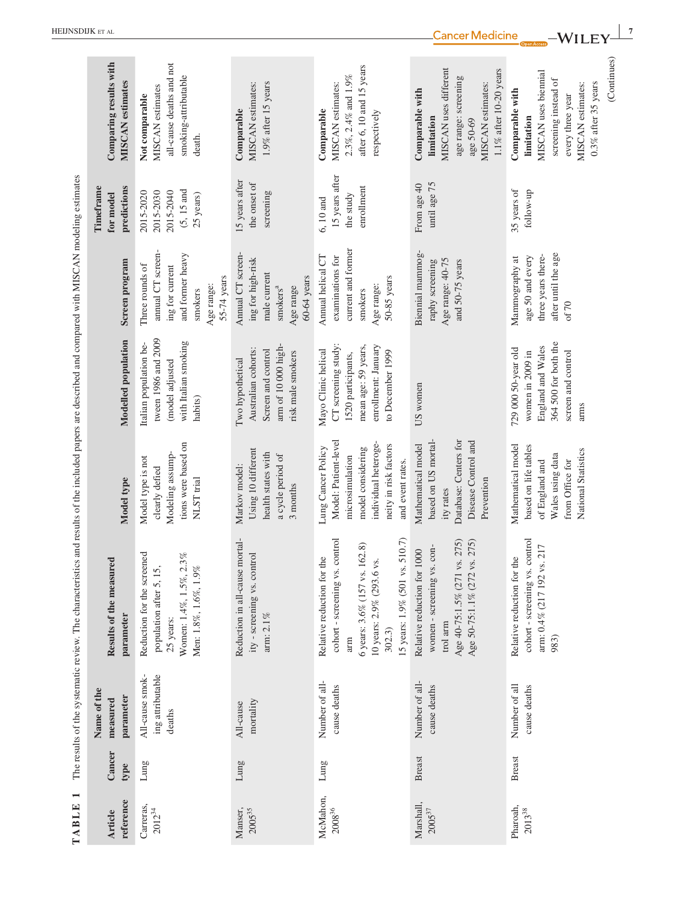| $\blacksquare$<br>TABLE  |                |                                               | The results of the systematic review. The characteristics and results of the included papers are described and compared with MISCAN modeling estimates                                         |                                                                                                                                                         |                                                                                                                                    |                                                                                                                     |                                                                          |                                                                                                                                                                 |
|--------------------------|----------------|-----------------------------------------------|------------------------------------------------------------------------------------------------------------------------------------------------------------------------------------------------|---------------------------------------------------------------------------------------------------------------------------------------------------------|------------------------------------------------------------------------------------------------------------------------------------|---------------------------------------------------------------------------------------------------------------------|--------------------------------------------------------------------------|-----------------------------------------------------------------------------------------------------------------------------------------------------------------|
| reference<br>Article     | Cancer<br>type | Name of the<br>parameter<br>measured          | Results of the measured<br>parameter                                                                                                                                                           | Model type                                                                                                                                              | Modelled population                                                                                                                | Screen program                                                                                                      | predictions<br>Timeframe<br>for model                                    | Comparing results with<br>MISCAN estimates                                                                                                                      |
| Carreras,<br>$2012^{34}$ | Lung           | All-cause smok-<br>ing attributable<br>deaths | Reduction for the screened<br>Women: 1.4%, 1.5%, 2.3%<br>Men: 1.8%, 1.6%, 1.9%<br>population after 5, 15,<br>25 years:                                                                         | tions were based on<br>Modeling assump-<br>Model type is not<br>clearly defied<br>NLST trial                                                            | tween 1986 and 2009<br>with Italian smoking<br>Italian population be-<br>(model adjusted<br>habits)                                | annual CT screen-<br>and former heavy<br>Three rounds of<br>ing for current<br>55-74 years<br>Age range:<br>smokers | $(5, 15 \text{ and}$<br>2015-2040<br>2015-2030<br>2015-2020<br>25 years) | all-cause deaths and not<br>smoking-attributable<br>MISCAN estimates<br>Not comparable<br>death.                                                                |
| $2005^{35}$<br>Manser,   | Lung           | mortality<br>All-cause                        | Reduction in all-cause mortal-<br>ity - screening vs. control<br>arm: 2.1%                                                                                                                     | Using 10 different<br>health states with<br>a cycle period of<br>Markov model:<br>3 months                                                              | arm of 10 000 high-<br>Australian cohorts:<br>Screen and control<br>risk male smokers<br>Two hypothetical                          | Annual CT screen-<br>ing for high-risk<br>male current<br>$60-64$ years<br>Age range<br>smokers <sup>a</sup>        | 15 years after<br>the onset of<br>screening                              | 1.9% after 15 years<br><b>MISCAN</b> estimates:<br>Comparable                                                                                                   |
| McMahon,<br>$2008^{36}$  | Lung           | Number of all-<br>cause deaths                | cohort - screening vs. control<br>15 years: 1.9% (501 vs. 510.7)<br>.162.8)<br>the<br>vs.<br>Relative reduction for<br>10 years: 2.9% (293.6<br>6 years: 3.6% (157 vs.<br>302.3)<br>$\rm{arm}$ | Model: Patient-level<br>individual heteroge-<br>neity in risk factors<br>Lung Cancer Policy<br>model considering<br>microsimulation<br>and event rates. | CT screening study:<br>enrollment: January<br>mean age: 59 years,<br>Mayo Clinic helical<br>to December 1999<br>1520 participants, | current and former<br>Annual helical CT<br>examinations for<br>50-85 years<br>Age range:<br>smokers                 | 15 years after<br>enrollment<br>the study<br>6,10 and                    | after 6, 10 and 15 years<br>2.3%, 2.4% and 1.9%<br>MISCAN estimates:<br>Comparable<br>respectively                                                              |
| Marshall,<br>$2005^{37}$ | <b>Breast</b>  | Number of all-<br>cause deaths                | vs. 275)<br>vs. 275)<br>women - screening vs. con-<br>Relative reduction for 1000<br>Age 50-75:1.1% (272<br>Age 40-75:1.5% (271<br>trol arm                                                    | Database: Centers for<br>based on US mortal-<br>Disease Control and<br>Mathematical model<br>Prevention<br>ity rates                                    | US women                                                                                                                           | Biennial mammog-<br>Age range: 40-75<br>raphy screening<br>and 50-75 years                                          | until age 75<br>From age 40                                              | MISCAN uses different<br>1.1% after 10-20 years<br>age range: screening<br>MISCAN estimates:<br>Comparable with<br>limitation<br>age 50-69                      |
| Pharoah,<br>$2013^{38}$  | <b>Breast</b>  | Number of all<br>cause deaths                 | cohort - screening vs. control<br>arm: 0.4% (217 192 vs. 217<br>Relative reduction for the<br>983)                                                                                             | Mathematical model<br>based on life tables<br>National Statistics<br>Wales using data<br>from Office for<br>of England and                              | 364 500 for both the<br>England and Wales<br>729 000 50-year old<br>screen and control<br>women in 2009 in<br>arms                 | after until the age<br>three years there-<br>age 50 and every<br>Mammography at<br>of 70                            | 35 years of<br>follow-up                                                 | (Continues)<br>MISCAN uses biennial<br>screening instead of<br>$0.3\%$ after 35 years<br>MISCAN estimates:<br>Comparable with<br>every three year<br>limitation |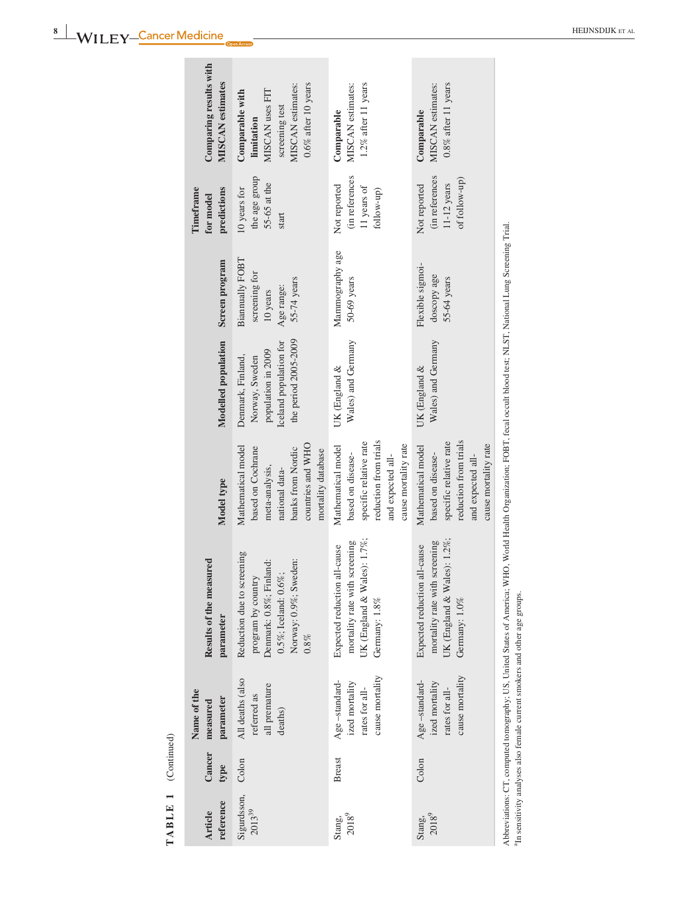| TABLE 1 (Continued)               |                |                                                                      |                                                                                                                                                                          |                                                                                                                                             |                                                                                                             |                                                                           |                                                                  |                                                                                                                   |
|-----------------------------------|----------------|----------------------------------------------------------------------|--------------------------------------------------------------------------------------------------------------------------------------------------------------------------|---------------------------------------------------------------------------------------------------------------------------------------------|-------------------------------------------------------------------------------------------------------------|---------------------------------------------------------------------------|------------------------------------------------------------------|-------------------------------------------------------------------------------------------------------------------|
| reference<br><b>Article</b>       | Cancer<br>type | Name of the<br>parameter<br>measured                                 | Results of the measured<br>parameter                                                                                                                                     | Model type                                                                                                                                  | Modelled population                                                                                         | Screen program                                                            | Timeframe<br>predictions<br>for model                            | Comparing results with<br>MISCAN estimates                                                                        |
| Sigurdsson,<br>2013 <sup>39</sup> | Colon          | All deaths (also<br>all premature<br>referred as<br>deaths)          | Reduction due to screening<br>Norway: 0.9%; Sweden:<br>Denmark: 0.8%; Finland:<br>0.5%; Iceland: $0.6\%$ ;<br>program by country<br>$0.8\%$                              | countries and WHO<br>Mathematical model<br>based on Cochrane<br>banks from Nordic<br>mortality database<br>meta-analysis,<br>national data- | the period 2005-2009<br>Iceland population for<br>population in 2009<br>Denmark, Finland,<br>Norway, Sweden | Biannually FOBT<br>screening for<br>55-74 years<br>Age range:<br>10 years | the age group<br>$55-65$ at the<br>10 years for<br>start         | $0.6\%$ after 10 years<br>MISCAN estimates:<br>MISCAN uses FIT<br>Comparable with<br>screening test<br>limitation |
| $2018^{9}$<br>Stang,              | <b>Breast</b>  | cause mortality<br>Age-standard-<br>ized mortality<br>rates for all- | UK (England & Wales): 1.7%;<br>mortality rate with screening<br>Expected reduction all-cause<br>Germany: 1.8%                                                            | reduction from trials<br>specific relative rate<br>cause mortality rate<br>Mathematical model<br>based on disease-<br>and expected all-     | Wales) and Germany<br>UK (England &                                                                         | Mammography age<br>50-69 years                                            | (in references<br>Not reported<br>11 years of<br>follow-up)      | $1.2\%$ after 11 years<br>MISCAN estimates:<br>Comparable                                                         |
| 20189<br>Stang,                   | Colon          | cause mortality<br>Age-standard-<br>ized mortality<br>rates for all- | UK (England & Wales): $1.2\%$ ;<br>mortality rate with screening<br>Expected reduction all-cause<br>Germany: 1.0%                                                        | reduction from trials<br>specific relative rate<br>cause mortality rate<br>Mathematical model<br>based on disease-<br>and expected all-     | Wales) and Germany<br>UK (England &                                                                         | Flexible sigmoi-<br>doscopy age<br>55-64 years                            | (in references<br>of follow-up)<br>$11-12$ years<br>Not reported | $0.8\%$ after 11 years<br>MISCAN estimates:<br>Comparable                                                         |
|                                   |                |                                                                      | Abbreviations: CT, computed tomography; US, United States of America; WHO, World Health Organization; FOBT, fecal occult blood test; NLST, National Lung Screening Trial |                                                                                                                                             |                                                                                                             |                                                                           |                                                                  |                                                                                                                   |

In sensitivity analyses also female current smokers and other age groups.

a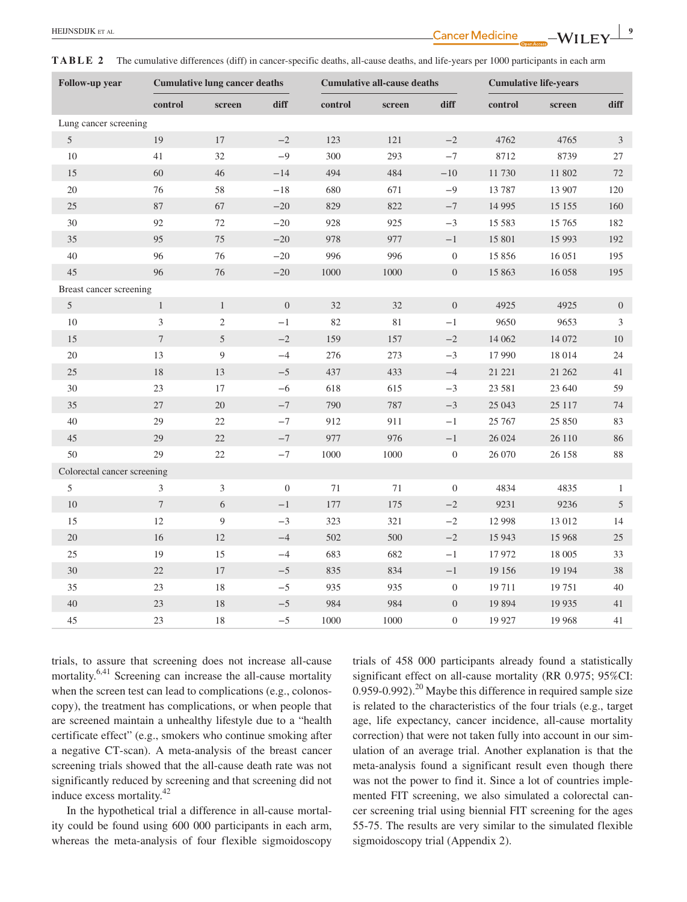**TABLE 2** The cumulative differences (diff) in cancer-specific deaths, all-cause deaths, and life-years per 1000 participants in each arm

| <b>Follow-up year</b>       | <b>Cumulative lung cancer deaths</b> |                  |                  |         | <b>Cumulative all-cause deaths</b> |                  | <b>Cumulative life-years</b> |         |                  |
|-----------------------------|--------------------------------------|------------------|------------------|---------|------------------------------------|------------------|------------------------------|---------|------------------|
|                             | control                              | screen           | diff             | control | screen                             | diff             | control                      | screen  | diff             |
| Lung cancer screening       |                                      |                  |                  |         |                                    |                  |                              |         |                  |
| $\mathfrak{S}$              | 19                                   | $17\,$           | $-2$             | 123     | 121                                | $-{\bf 2}$       | 4762                         | 4765    | 3                |
| 10                          | 41                                   | 32               | $-9$             | 300     | 293                                | $-7$             | 8712                         | 8739    | $27\,$           |
| 15                          | 60                                   | 46               | $-14$            | 494     | 484                                | $-10$            | 11730                        | 11 802  | 72               |
| 20                          | 76                                   | 58               | $-18$            | 680     | 671                                | $-9$             | 13787                        | 13 907  | 120              |
| 25                          | 87                                   | 67               | $-20$            | 829     | 822                                | $-7$             | 14 9 95                      | 15 15 5 | 160              |
| $30\,$                      | 92                                   | $72\,$           | $-20$            | 928     | 925                                | $-3$             | 15 5 8 3                     | 15 765  | 182              |
| 35                          | 95                                   | 75               | $-20$            | 978     | 977                                | $-1\,$           | 15 801                       | 15 9 93 | 192              |
| $40\,$                      | 96                                   | 76               | $-20$            | 996     | 996                                | $\boldsymbol{0}$ | 15 856                       | 16 05 1 | 195              |
| 45                          | 96                                   | 76               | $-20$            | 1000    | 1000                               | $\boldsymbol{0}$ | 15 863                       | 16 058  | 195              |
| Breast cancer screening     |                                      |                  |                  |         |                                    |                  |                              |         |                  |
| $\sqrt{5}$                  | $\mathbf{1}$                         | $\mathbf{1}$     | $\boldsymbol{0}$ | 32      | 32                                 | $\boldsymbol{0}$ | 4925                         | 4925    | $\boldsymbol{0}$ |
| $10\,$                      | $\mathfrak{Z}$                       | $\sqrt{2}$       | $-1$             | 82      | 81                                 | $-1$             | 9650                         | 9653    | 3                |
| 15                          | $\boldsymbol{7}$                     | $\mathfrak{S}$   | $-2$             | 159     | 157                                | $-2$             | 14 062                       | 14 072  | $10\,$           |
| $20\,$                      | 13                                   | $\boldsymbol{9}$ | $-4$             | 276     | 273                                | $-3$             | 17 990                       | 18 014  | 24               |
| $25\,$                      | 18                                   | 13               | $-5$             | 437     | 433                                | $-4\,$           | 21 221                       | 21 262  | 41               |
| 30                          | 23                                   | $17\,$           | $-6$             | 618     | 615                                | $-3$             | 23 581                       | 23 640  | 59               |
| 35                          | 27                                   | 20               | $-7$             | 790     | 787                                | $-3$             | 25 043                       | 25 117  | 74               |
| 40                          | 29                                   | 22               | $-7$             | 912     | 911                                | $-1$             | 25 767                       | 25 850  | 83               |
| 45                          | 29                                   | 22               | $-7$             | 977     | 976                                | $-1$             | 26 024                       | 26 110  | 86               |
| 50                          | 29                                   | 22               | $-7\,$           | 1000    | 1000                               | $\boldsymbol{0}$ | 26 070                       | 26 158  | $88\,$           |
| Colorectal cancer screening |                                      |                  |                  |         |                                    |                  |                              |         |                  |
| $5\,$                       | 3                                    | $\sqrt{3}$       | $\boldsymbol{0}$ | $71\,$  | $71\,$                             | $\boldsymbol{0}$ | 4834                         | 4835    | $\mathbf{1}$     |
| 10                          | $\tau$                               | $\sqrt{6}$       | $-1$             | 177     | 175                                | $-2$             | 9231                         | 9236    | $\mathfrak{I}$   |
| 15                          | 12                                   | 9                | $-3$             | 323     | 321                                | $-2$             | 12 9 98                      | 13 012  | 14               |
| 20                          | 16                                   | $12\,$           | $-4$             | 502     | 500                                | $-2$             | 15 943                       | 15 968  | 25               |
| 25                          | 19                                   | 15               | $-4$             | 683     | 682                                | $-1$             | 17 972                       | 18 005  | 33               |
| 30                          | $22\,$                               | $17\,$           | $-5$             | 835     | 834                                | $-1\,$           | 19 15 6                      | 19 19 4 | 38               |
| 35                          | $23\,$                               | $18\,$           | $-5$             | 935     | 935                                | $\boldsymbol{0}$ | 19711                        | 19751   | 40               |
| 40                          | 23                                   | $18\,$           | $-5$             | 984     | 984                                | $\boldsymbol{0}$ | 19 8 9 4                     | 19 9 35 | 41               |
| 45                          | 23                                   | 18               | $-5$             | 1000    | 1000                               | $\overline{0}$   | 19 9 27                      | 19 9 68 | 41               |

trials, to assure that screening does not increase all‐cause mortality.<sup>6,41</sup> Screening can increase the all-cause mortality when the screen test can lead to complications (e.g., colonoscopy), the treatment has complications, or when people that are screened maintain a unhealthy lifestyle due to a "health certificate effect" (e.g., smokers who continue smoking after a negative CT‐scan). A meta‐analysis of the breast cancer screening trials showed that the all-cause death rate was not significantly reduced by screening and that screening did not induce excess mortality.<sup>42</sup>

In the hypothetical trial a difference in all‐cause mortality could be found using 600 000 participants in each arm, whereas the meta-analysis of four flexible sigmoidoscopy trials of 458 000 participants already found a statistically significant effect on all-cause mortality (RR 0.975; 95%CI:  $0.959 - 0.992$ .<sup>20</sup> Maybe this difference in required sample size is related to the characteristics of the four trials (e.g., target age, life expectancy, cancer incidence, all-cause mortality correction) that were not taken fully into account in our simulation of an average trial. Another explanation is that the meta‐analysis found a significant result even though there was not the power to find it. Since a lot of countries implemented FIT screening, we also simulated a colorectal cancer screening trial using biennial FIT screening for the ages 55‐75. The results are very similar to the simulated flexible sigmoidoscopy trial (Appendix 2).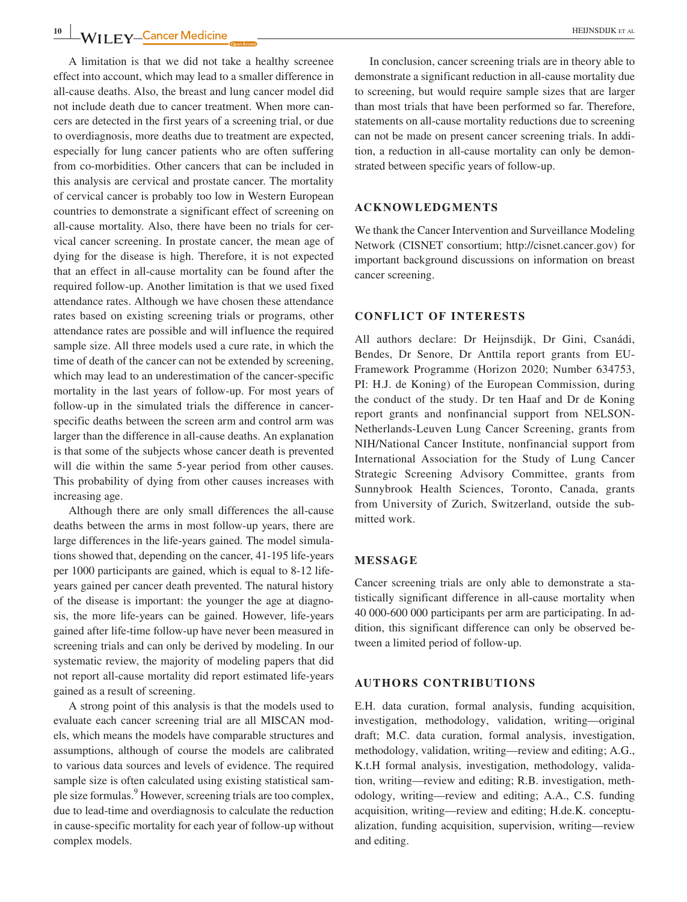A limitation is that we did not take a healthy screenee effect into account, which may lead to a smaller difference in all‐cause deaths. Also, the breast and lung cancer model did not include death due to cancer treatment. When more cancers are detected in the first years of a screening trial, or due to overdiagnosis, more deaths due to treatment are expected, especially for lung cancer patients who are often suffering from co-morbidities. Other cancers that can be included in this analysis are cervical and prostate cancer. The mortality of cervical cancer is probably too low in Western European countries to demonstrate a significant effect of screening on all‐cause mortality. Also, there have been no trials for cervical cancer screening. In prostate cancer, the mean age of dying for the disease is high. Therefore, it is not expected that an effect in all‐cause mortality can be found after the required follow‐up. Another limitation is that we used fixed attendance rates. Although we have chosen these attendance rates based on existing screening trials or programs, other attendance rates are possible and will influence the required sample size. All three models used a cure rate, in which the time of death of the cancer can not be extended by screening, which may lead to an underestimation of the cancer-specific mortality in the last years of follow‐up. For most years of follow-up in the simulated trials the difference in cancerspecific deaths between the screen arm and control arm was larger than the difference in all‐cause deaths. An explanation is that some of the subjects whose cancer death is prevented will die within the same 5‐year period from other causes. This probability of dying from other causes increases with increasing age.

Although there are only small differences the all‐cause deaths between the arms in most follow‐up years, there are large differences in the life‐years gained. The model simulations showed that, depending on the cancer, 41‐195 life‐years per 1000 participants are gained, which is equal to 8-12 lifeyears gained per cancer death prevented. The natural history of the disease is important: the younger the age at diagnosis, the more life‐years can be gained. However, life‐years gained after life‐time follow‐up have never been measured in screening trials and can only be derived by modeling. In our systematic review, the majority of modeling papers that did not report all‐cause mortality did report estimated life‐years gained as a result of screening.

A strong point of this analysis is that the models used to evaluate each cancer screening trial are all MISCAN models, which means the models have comparable structures and assumptions, although of course the models are calibrated to various data sources and levels of evidence. The required sample size is often calculated using existing statistical sample size formulas.<sup>9</sup> However, screening trials are too complex, due to lead‐time and overdiagnosis to calculate the reduction in cause‐specific mortality for each year of follow‐up without complex models.

In conclusion, cancer screening trials are in theory able to demonstrate a significant reduction in all‐cause mortality due to screening, but would require sample sizes that are larger than most trials that have been performed so far. Therefore, statements on all-cause mortality reductions due to screening can not be made on present cancer screening trials. In addition, a reduction in all‐cause mortality can only be demonstrated between specific years of follow‐up.

#### **ACKNOWLEDGMENTS**

We thank the Cancer Intervention and Surveillance Modeling Network (CISNET consortium; <http://cisnet.cancer.gov>) for important background discussions on information on breast cancer screening.

#### **CONFLICT OF INTERESTS**

All authors declare: Dr Heijnsdijk, Dr Gini, Csanádi, Bendes, Dr Senore, Dr Anttila report grants from EU‐ Framework Programme (Horizon 2020; Number 634753, PI: H.J. de Koning) of the European Commission, during the conduct of the study. Dr ten Haaf and Dr de Koning report grants and nonfinancial support from NELSON‐ Netherlands‐Leuven Lung Cancer Screening, grants from NIH/National Cancer Institute, nonfinancial support from International Association for the Study of Lung Cancer Strategic Screening Advisory Committee, grants from Sunnybrook Health Sciences, Toronto, Canada, grants from University of Zurich, Switzerland, outside the submitted work.

#### **MESSAGE**

Cancer screening trials are only able to demonstrate a statistically significant difference in all‐cause mortality when 40 000‐600 000 participants per arm are participating. In addition, this significant difference can only be observed between a limited period of follow‐up.

#### **AUTHORS CONTRIBUTIONS**

E.H. data curation, formal analysis, funding acquisition, investigation, methodology, validation, writing—original draft; M.C. data curation, formal analysis, investigation, methodology, validation, writing—review and editing; A.G., K.t.H formal analysis, investigation, methodology, validation, writing—review and editing; R.B. investigation, methodology, writing—review and editing; A.A., C.S. funding acquisition, writing—review and editing; H.de.K. conceptualization, funding acquisition, supervision, writing—review and editing.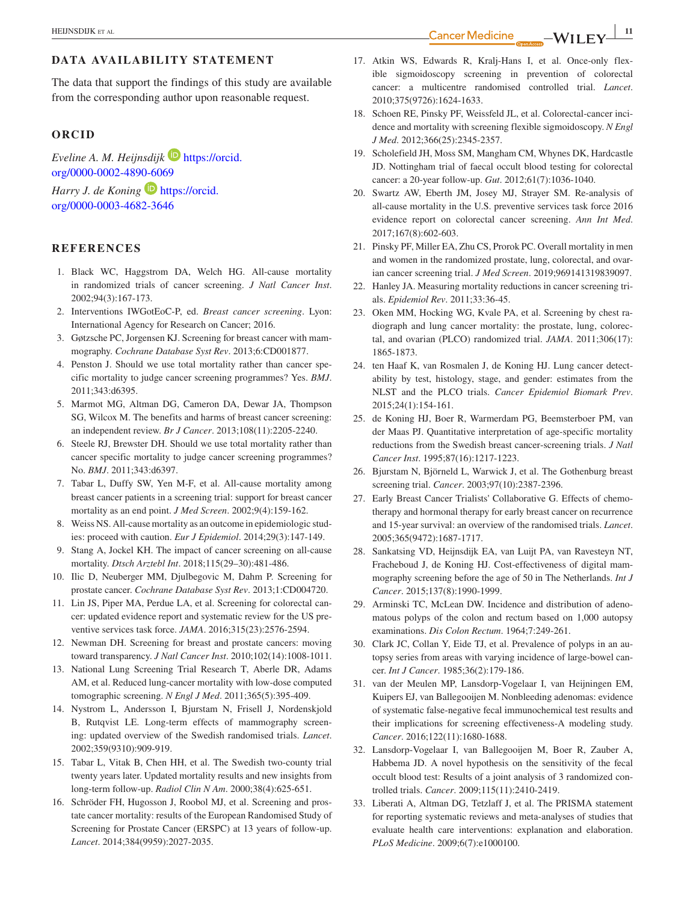## **DATA AVAILABILITY STATEMENT**

The data that support the findings of this study are available from the corresponding author upon reasonable request.

#### **ORCID**

*Eveline A. M. Heijnsdijk* [https://orcid.](https://orcid.org/0000-0002-4890-6069) [org/0000-0002-4890-6069](https://orcid.org/0000-0002-4890-6069)

*Harry J. de Koning* **[https://orcid.](https://orcid.org/0000-0003-4682-3646)** [org/0000-0003-4682-3646](https://orcid.org/0000-0003-4682-3646)

#### **REFERENCES**

- 1. Black WC, Haggstrom DA, Welch HG. All-cause mortality in randomized trials of cancer screening. *J Natl Cancer Inst*. 2002;94(3):167‐173.
- 2. Interventions IWGotEoC‐P, ed. *Breast cancer screening*. Lyon: International Agency for Research on Cancer; 2016.
- 3. Gøtzsche PC, Jorgensen KJ. Screening for breast cancer with mammography. *Cochrane Database Syst Rev*. 2013;6:CD001877.
- 4. Penston J. Should we use total mortality rather than cancer specific mortality to judge cancer screening programmes? Yes. *BMJ*. 2011;343:d6395.
- 5. Marmot MG, Altman DG, Cameron DA, Dewar JA, Thompson SG, Wilcox M. The benefits and harms of breast cancer screening: an independent review. *Br J Cancer*. 2013;108(11):2205‐2240.
- 6. Steele RJ, Brewster DH. Should we use total mortality rather than cancer specific mortality to judge cancer screening programmes? No. *BMJ*. 2011;343:d6397.
- 7. Tabar L, Duffy SW, Yen M‐F, et al. All‐cause mortality among breast cancer patients in a screening trial: support for breast cancer mortality as an end point. *J Med Screen*. 2002;9(4):159‐162.
- 8. Weiss NS. All-cause mortality as an outcome in epidemiologic studies: proceed with caution. *Eur J Epidemiol*. 2014;29(3):147‐149.
- 9. Stang A, Jockel KH. The impact of cancer screening on all-cause mortality. *Dtsch Arztebl Int*. 2018;115(29–30):481‐486.
- 10. Ilic D, Neuberger MM, Djulbegovic M, Dahm P. Screening for prostate cancer. *Cochrane Database Syst Rev*. 2013;1:CD004720.
- 11. Lin JS, Piper MA, Perdue LA, et al. Screening for colorectal cancer: updated evidence report and systematic review for the US preventive services task force. *JAMA*. 2016;315(23):2576‐2594.
- 12. Newman DH. Screening for breast and prostate cancers: moving toward transparency. *J Natl Cancer Inst*. 2010;102(14):1008‐1011.
- 13. National Lung Screening Trial Research T, Aberle DR, Adams AM, et al. Reduced lung‐cancer mortality with low‐dose computed tomographic screening. *N Engl J Med*. 2011;365(5):395‐409.
- 14. Nystrom L, Andersson I, Bjurstam N, Frisell J, Nordenskjold B, Rutqvist LE. Long-term effects of mammography screening: updated overview of the Swedish randomised trials. *Lancet*. 2002;359(9310):909‐919.
- 15. Tabar L, Vitak B, Chen HH, et al. The Swedish two‐county trial twenty years later. Updated mortality results and new insights from long‐term follow‐up. *Radiol Clin N Am*. 2000;38(4):625‐651.
- 16. Schröder FH, Hugosson J, Roobol MJ, et al. Screening and prostate cancer mortality: results of the European Randomised Study of Screening for Prostate Cancer (ERSPC) at 13 years of follow‐up. *Lancet*. 2014;384(9959):2027‐2035.
- 17. Atkin WS, Edwards R, Kralj-Hans I, et al. Once-only flexible sigmoidoscopy screening in prevention of colorectal cancer: a multicentre randomised controlled trial. *Lancet*. 2010;375(9726):1624‐1633.
- 18. Schoen RE, Pinsky PF, Weissfeld JL, et al. Colorectal-cancer incidence and mortality with screening flexible sigmoidoscopy. *N Engl J Med*. 2012;366(25):2345‐2357.
- 19. Scholefield JH, Moss SM, Mangham CM, Whynes DK, Hardcastle JD. Nottingham trial of faecal occult blood testing for colorectal cancer: a 20‐year follow‐up. *Gut*. 2012;61(7):1036‐1040.
- 20. Swartz AW, Eberth JM, Josey MJ, Strayer SM. Re‐analysis of all‐cause mortality in the U.S. preventive services task force 2016 evidence report on colorectal cancer screening. *Ann Int Med*. 2017;167(8):602‐603.
- 21. Pinsky PF, Miller EA, Zhu CS, Prorok PC. Overall mortality in men and women in the randomized prostate, lung, colorectal, and ovarian cancer screening trial. *J Med Screen*. 2019;969141319839097.
- 22. Hanley JA. Measuring mortality reductions in cancer screening trials. *Epidemiol Rev*. 2011;33:36‐45.
- 23. Oken MM, Hocking WG, Kvale PA, et al. Screening by chest radiograph and lung cancer mortality: the prostate, lung, colorectal, and ovarian (PLCO) randomized trial. *JAMA*. 2011;306(17): 1865‐1873.
- 24. ten Haaf K, van Rosmalen J, de Koning HJ. Lung cancer detectability by test, histology, stage, and gender: estimates from the NLST and the PLCO trials. *Cancer Epidemiol Biomark Prev*. 2015;24(1):154‐161.
- 25. de Koning HJ, Boer R, Warmerdam PG, Beemsterboer PM, van der Maas PJ. Quantitative interpretation of age‐specific mortality reductions from the Swedish breast cancer‐screening trials. *J Natl Cancer Inst*. 1995;87(16):1217‐1223.
- 26. Bjurstam N, Björneld L, Warwick J, et al. The Gothenburg breast screening trial. *Cancer*. 2003;97(10):2387‐2396.
- 27. Early Breast Cancer Trialists' Collaborative G. Effects of chemotherapy and hormonal therapy for early breast cancer on recurrence and 15‐year survival: an overview of the randomised trials. *Lancet*. 2005;365(9472):1687‐1717.
- 28. Sankatsing VD, Heijnsdijk EA, van Luijt PA, van Ravesteyn NT, Fracheboud J, de Koning HJ. Cost-effectiveness of digital mammography screening before the age of 50 in The Netherlands. *Int J Cancer*. 2015;137(8):1990‐1999.
- 29. Arminski TC, McLean DW. Incidence and distribution of adenomatous polyps of the colon and rectum based on 1,000 autopsy examinations. *Dis Colon Rectum*. 1964;7:249‐261.
- 30. Clark JC, Collan Y, Eide TJ, et al. Prevalence of polyps in an autopsy series from areas with varying incidence of large-bowel cancer. *Int J Cancer*. 1985;36(2):179‐186.
- 31. van der Meulen MP, Lansdorp‐Vogelaar I, van Heijningen EM, Kuipers EJ, van Ballegooijen M. Nonbleeding adenomas: evidence of systematic false‐negative fecal immunochemical test results and their implications for screening effectiveness‐A modeling study. *Cancer*. 2016;122(11):1680‐1688.
- 32. Lansdorp‐Vogelaar I, van Ballegooijen M, Boer R, Zauber A, Habbema JD. A novel hypothesis on the sensitivity of the fecal occult blood test: Results of a joint analysis of 3 randomized controlled trials. *Cancer*. 2009;115(11):2410‐2419.
- 33. Liberati A, Altman DG, Tetzlaff J, et al. The PRISMA statement for reporting systematic reviews and meta‐analyses of studies that evaluate health care interventions: explanation and elaboration. *PLoS Medicine*. 2009;6(7):e1000100.